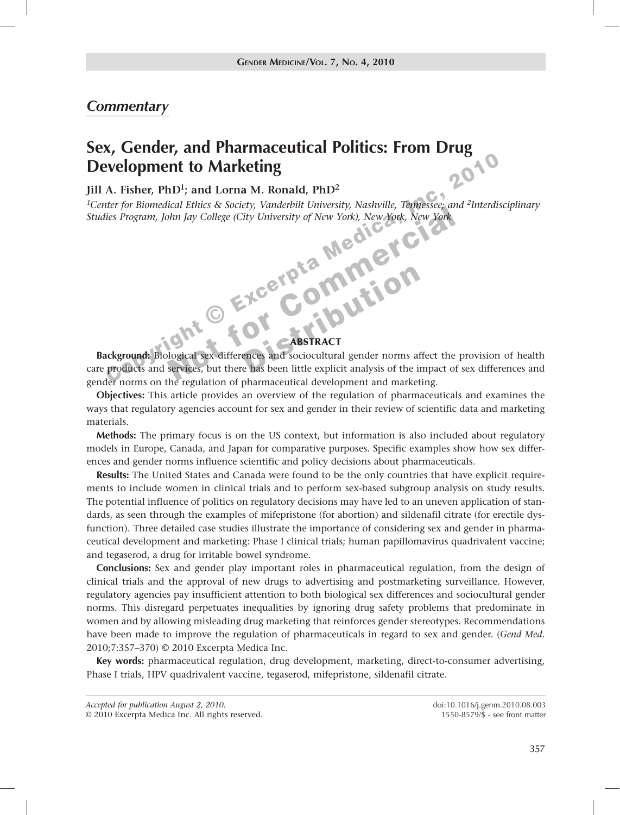## *Commentary*

# 2010 **Sex, Gender, and Pharmaceutical Politics: From Drug Development to Marketing**

## **Jill A. Fisher, PhD1; and Lorna M. Ronald, PhD2**

Inc, *1Center for Biomedical Ethics & Society, Vanderbilt University, Nashville, Tennessee; and 2Interdisciplinary Studies Program, John Jay College (City University of New York), New York, New York*

#### ABSTRACT

The Bohandard Ethis & Society, Vandelphi Enterstay, Native Excerptation (September 2011)<br>
The Medical Sex (September 2012)<br>
Contract Contract And Sociological Sex differences and Sociological gender norms affect the<br>
Produ **Background:** Biological sex differences and sociocultural gender norms affect the provision of health care products and services, but there has been little explicit analysis of the impact of sex differences and gender norms on the regulation of pharmaceutical development and marketing.

**Objectives:** This article provides an overview of the regulation of pharmaceuticals and examines the ways that regulatory agencies account for sex and gender in their review of scientific data and marketing materials.

**Methods:** The primary focus is on the US context, but information is also included about regulatory models in Europe, Canada, and Japan for comparative purposes. Specific examples show how sex differences and gender norms influence scientific and policy decisions about pharmaceuticals.

**Results:** The United States and Canada were found to be the only countries that have explicit requirements to include women in clinical trials and to perform sex-based subgroup analysis on study results. The potential influence of politics on regulatory decisions may have led to an uneven application of standards, as seen through the examples of mifepristone (for abortion) and sildenafil citrate (for erectile dysfunction). Three detailed case studies illustrate the importance of considering sex and gender in pharmaceutical development and marketing: Phase I clinical trials; human papillomavirus quadrivalent vaccine; and tegaserod, a drug for irritable bowel syndrome.

**Conclusions:** Sex and gender play important roles in pharmaceutical regulation, from the design of clinical trials and the approval of new drugs to advertising and postmarketing surveillance. However, regulatory agencies pay insufficient attention to both biological sex differences and sociocultural gender norms. This disregard perpetuates inequalities by ignoring drug safety problems that predominate in women and by allowing misleading drug marketing that reinforces gender stereotypes. Recommendations have been made to improve the regulation of pharmaceuticals in regard to sex and gender. (*Gend Med.* 2010;7:357–370) © 2010 Excerpta Medica Inc.

**Key words:** pharmaceutical regulation, drug development, marketing, direct-to-consumer advertising, Phase I trials, HPV quadrivalent vaccine, tegaserod, mifepristone, sildenafil citrate.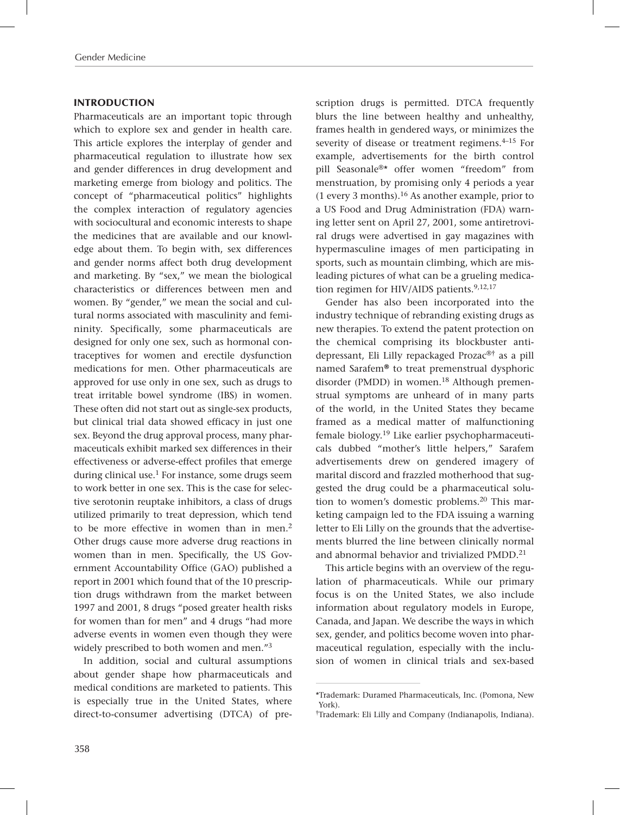#### INTRODUCTION

Pharmaceuticals are an important topic through which to explore sex and gender in health care. This article explores the interplay of gender and pharmaceutical regulation to illustrate how sex and gender differences in drug development and marketing emerge from biology and politics. The concept of "pharmaceutical politics" highlights the complex interaction of regulatory agencies with sociocultural and economic interests to shape the medicines that are available and our knowledge about them. To begin with, sex differences and gender norms affect both drug development and marketing. By "sex," we mean the biological characteristics or differences between men and women. By "gender," we mean the social and cultural norms associated with masculinity and femininity. Specifically, some pharmaceuticals are designed for only one sex, such as hormonal contraceptives for women and erectile dysfunction medications for men. Other pharmaceuticals are approved for use only in one sex, such as drugs to treat irritable bowel syndrome (IBS) in women. These often did not start out as single-sex products, but clinical trial data showed efficacy in just one sex. Beyond the drug approval process, many pharmaceuticals exhibit marked sex differences in their effectiveness or adverse-effect profiles that emerge during clinical use.<sup>1</sup> For instance, some drugs seem to work better in one sex. This is the case for selective serotonin reuptake inhibitors, a class of drugs utilized primarily to treat depression, which tend to be more effective in women than in men.<sup>2</sup> Other drugs cause more adverse drug reactions in women than in men. Specifically, the US Government Accountability Office (GAO) published a report in 2001 which found that of the 10 prescription drugs withdrawn from the market between 1997 and 2001, 8 drugs "posed greater health risks for women than for men" and 4 drugs "had more adverse events in women even though they were widely prescribed to both women and men."<sup>3</sup>

In addition, social and cultural assumptions about gender shape how pharmaceuticals and medical conditions are marketed to patients. This is especially true in the United States, where direct-to-consumer advertising (DTCA) of prescription drugs is permitted. DTCA frequently blurs the line between healthy and unhealthy, frames health in gendered ways, or minimizes the severity of disease or treatment regimens.<sup>4-15</sup> For example, advertisements for the birth control pill Seasonale®\* offer women "freedom" from menstruation, by promising only 4 periods a year (1 every 3 months).<sup>16</sup> As another example, prior to a US Food and Drug Administration (FDA) warning letter sent on April 27, 2001, some antiretroviral drugs were advertised in gay magazines with hypermasculine images of men participating in sports, such as mountain climbing, which are misleading pictures of what can be a grueling medication regimen for HIV/AIDS patients.<sup>9,12,17</sup>

Gender has also been incorporated into the industry technique of rebranding existing drugs as new therapies. To extend the patent protection on the chemical comprising its blockbuster antidepressant, Eli Lilly repackaged Prozac®† as a pill named Sarafem**®** to treat premenstrual dysphoric disorder (PMDD) in women.18 Although premenstrual symptoms are unheard of in many parts of the world, in the United States they became framed as a medical matter of malfunctioning female biology.19 Like earlier psychopharmaceuticals dubbed "mother's little helpers," Sarafem advertisements drew on gendered imagery of marital discord and frazzled motherhood that suggested the drug could be a pharmaceutical solution to women's domestic problems.<sup>20</sup> This marketing campaign led to the FDA issuing a warning letter to Eli Lilly on the grounds that the advertisements blurred the line between clinically normal and abnormal behavior and trivialized PMDD.<sup>21</sup>

This article begins with an overview of the regulation of pharmaceuticals. While our primary focus is on the United States, we also include information about regulatory models in Europe, Canada, and Japan. We describe the ways in which sex, gender, and politics become woven into pharmaceutical regulation, especially with the inclusion of women in clinical trials and sex-based

<sup>\*</sup>Trademark: Duramed Pharmaceuticals, Inc. (Pomona, New York).

<sup>†</sup>Trademark: Eli Lilly and Company (Indianapolis, Indiana).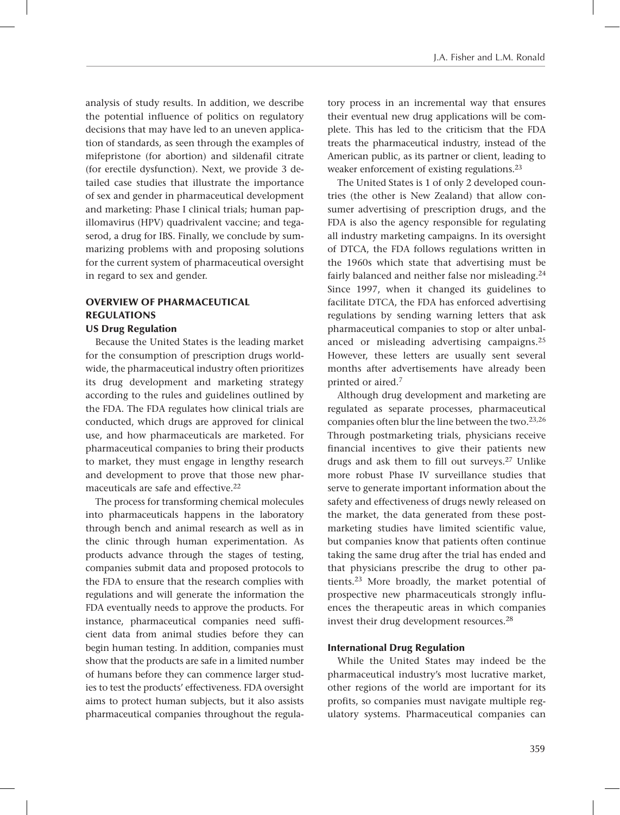analysis of study results. In addition, we describe the potential influence of politics on regulatory decisions that may have led to an uneven application of standards, as seen through the examples of mifepristone (for abortion) and sildenafil citrate (for erectile dysfunction). Next, we provide 3 detailed case studies that illustrate the importance of sex and gender in pharmaceutical development and marketing: Phase I clinical trials; human papillomavirus (HPV) quadrivalent vaccine; and tegaserod, a drug for IBS. Finally, we conclude by summarizing problems with and proposing solutions for the current system of pharmaceutical oversight in regard to sex and gender.

## OVERVIEW OF PHARMACEUTICAL REGULATIONS

### US Drug Regulation

Because the United States is the leading market for the consumption of prescription drugs worldwide, the pharmaceutical industry often prioritizes its drug development and marketing strategy according to the rules and guidelines outlined by the FDA. The FDA regulates how clinical trials are conducted, which drugs are approved for clinical use, and how pharmaceuticals are marketed. For pharmaceutical companies to bring their products to market, they must engage in lengthy research and development to prove that those new pharmaceuticals are safe and effective.<sup>22</sup>

The process for transforming chemical molecules into pharmaceuticals happens in the laboratory through bench and animal research as well as in the clinic through human experimentation. As products advance through the stages of testing, companies submit data and proposed protocols to the FDA to ensure that the research complies with regulations and will generate the information the FDA eventually needs to approve the products. For instance, pharmaceutical companies need sufficient data from animal studies before they can begin human testing. In addition, companies must show that the products are safe in a limited number of humans before they can commence larger studies to test the products' effectiveness. FDA oversight aims to protect human subjects, but it also assists pharmaceutical companies throughout the regulatory process in an incremental way that ensures their eventual new drug applications will be complete. This has led to the criticism that the FDA treats the pharmaceutical industry, instead of the American public, as its partner or client, leading to weaker enforcement of existing regulations.23

The United States is 1 of only 2 developed countries (the other is New Zealand) that allow consumer advertising of prescription drugs, and the FDA is also the agency responsible for regulating all industry marketing campaigns. In its oversight of DTCA, the FDA follows regulations written in the 1960s which state that advertising must be fairly balanced and neither false nor misleading.<sup>24</sup> Since 1997, when it changed its guidelines to facilitate DTCA, the FDA has enforced advertising regulations by sending warning letters that ask pharmaceutical companies to stop or alter unbalanced or misleading advertising campaigns.25 However, these letters are usually sent several months after advertisements have already been printed or aired.7

Although drug development and marketing are regulated as separate processes, pharmaceutical companies often blur the line between the two.23,26 Through postmarketing trials, physicians receive financial incentives to give their patients new drugs and ask them to fill out surveys.27 Unlike more robust Phase IV surveillance studies that serve to generate important information about the safety and effectiveness of drugs newly released on the market, the data generated from these postmarketing studies have limited scientific value, but companies know that patients often continue taking the same drug after the trial has ended and that physicians prescribe the drug to other patients.23 More broadly, the market potential of prospective new pharmaceuticals strongly influences the therapeutic areas in which companies invest their drug development resources.28

#### International Drug Regulation

While the United States may indeed be the pharmaceutical industry's most lucrative market, other regions of the world are important for its profits, so companies must navigate multiple regulatory systems. Pharmaceutical companies can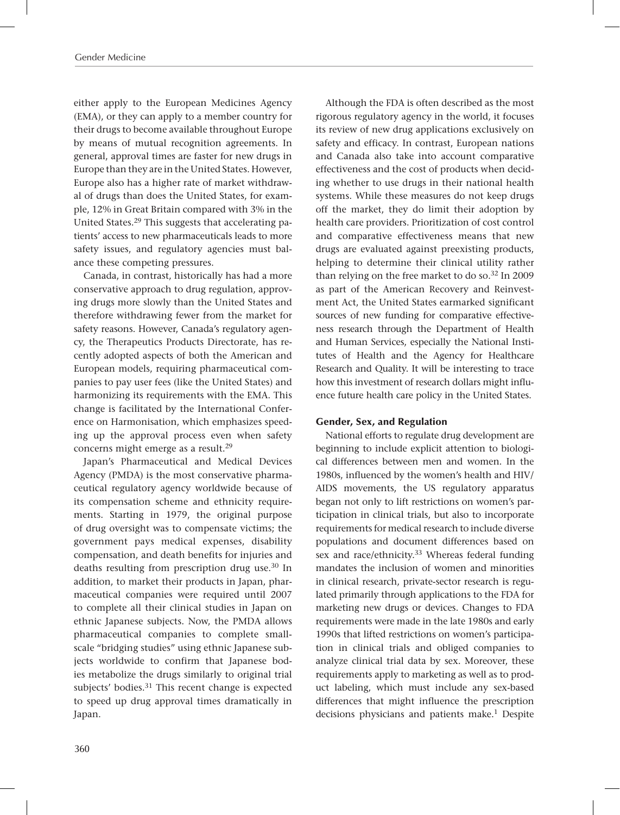either apply to the European Medicines Agency (EMA), or they can apply to a member country for their drugs to become available throughout Europe by means of mutual recognition agreements. In general, approval times are faster for new drugs in Europe than they are in the United States. However, Europe also has a higher rate of market withdrawal of drugs than does the United States, for example, 12% in Great Britain compared with 3% in the United States.29 This suggests that accelerating patients' access to new pharmaceuticals leads to more safety issues, and regulatory agencies must balance these competing pressures.

Canada, in contrast, historically has had a more conservative approach to drug regulation, approving drugs more slowly than the United States and therefore withdrawing fewer from the market for safety reasons. However, Canada's regulatory agency, the Therapeutics Products Directorate, has recently adopted aspects of both the American and European models, requiring pharmaceutical companies to pay user fees (like the United States) and harmonizing its requirements with the EMA. This change is facilitated by the International Conference on Harmonisation, which emphasizes speeding up the approval process even when safety concerns might emerge as a result.29

Japan's Pharmaceutical and Medical Devices Agency (PMDA) is the most conservative pharmaceutical regulatory agency worldwide because of its compensation scheme and ethnicity requirements. Starting in 1979, the original purpose of drug oversight was to compensate victims; the government pays medical expenses, disability compensation, and death benefits for injuries and deaths resulting from prescription drug use.<sup>30</sup> In addition, to market their products in Japan, pharmaceutical companies were required until 2007 to complete all their clinical studies in Japan on ethnic Japanese subjects. Now, the PMDA allows pharmaceutical companies to complete smallscale "bridging studies" using ethnic Japanese subjects worldwide to confirm that Japanese bodies metabolize the drugs similarly to original trial subjects' bodies.<sup>31</sup> This recent change is expected to speed up drug approval times dramatically in Japan.

Although the FDA is often described as the most rigorous regulatory agency in the world, it focuses its review of new drug applications exclusively on safety and efficacy. In contrast, European nations and Canada also take into account comparative effectiveness and the cost of products when deciding whether to use drugs in their national health systems. While these measures do not keep drugs off the market, they do limit their adoption by health care providers. Prioritization of cost control and comparative effectiveness means that new drugs are evaluated against preexisting products, helping to determine their clinical utility rather than relying on the free market to do so.32 In 2009 as part of the American Recovery and Reinvestment Act, the United States earmarked significant sources of new funding for comparative effectiveness research through the Department of Health and Human Services, especially the National Institutes of Health and the Agency for Healthcare Research and Quality. It will be interesting to trace how this investment of research dollars might influence future health care policy in the United States.

### Gender, Sex, and Regulation

National efforts to regulate drug development are beginning to include explicit attention to biological differences between men and women. In the 1980s, influenced by the women's health and HIV/ AIDS movements, the US regulatory apparatus began not only to lift restrictions on women's participation in clinical trials, but also to incorporate requirements for medical research to include diverse populations and document differences based on sex and race/ethnicity.<sup>33</sup> Whereas federal funding mandates the inclusion of women and minorities in clinical research, private-sector research is regulated primarily through applications to the FDA for marketing new drugs or devices. Changes to FDA requirements were made in the late 1980s and early 1990s that lifted restrictions on women's participation in clinical trials and obliged companies to analyze clinical trial data by sex. Moreover, these requirements apply to marketing as well as to product labeling, which must include any sex-based differences that might influence the prescription decisions physicians and patients make.<sup>1</sup> Despite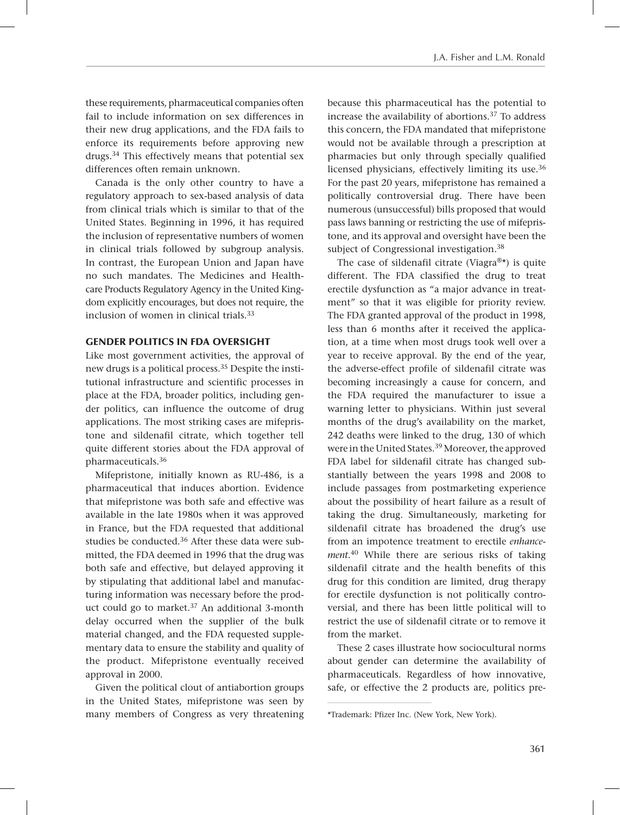these requirements, pharmaceutical companies often fail to include information on sex differences in their new drug applications, and the FDA fails to enforce its requirements before approving new drugs.34 This effectively means that potential sex differences often remain unknown.

Canada is the only other country to have a regulatory approach to sex-based analysis of data from clinical trials which is similar to that of the United States. Beginning in 1996, it has required the inclusion of representative numbers of women in clinical trials followed by subgroup analysis. In contrast, the European Union and Japan have no such mandates. The Medicines and Healthcare Products Regulatory Agency in the United Kingdom explicitly encourages, but does not require, the inclusion of women in clinical trials.33

#### GENDER POLITICS IN FDA OVERSIGHT

Like most government activities, the approval of new drugs is a political process.35 Despite the institutional infrastructure and scientific processes in place at the FDA, broader politics, including gender politics, can influence the outcome of drug applications. The most striking cases are mifepristone and sildenafil citrate, which together tell quite different stories about the FDA approval of pharmaceuticals.36

Mifepristone, initially known as RU-486, is a pharmaceutical that induces abortion. Evidence that mifepristone was both safe and effective was available in the late 1980s when it was approved in France, but the FDA requested that additional studies be conducted.<sup>36</sup> After these data were submitted, the FDA deemed in 1996 that the drug was both safe and effective, but delayed approving it by stipulating that additional label and manufacturing information was necessary before the product could go to market.37 An additional 3-month delay occurred when the supplier of the bulk material changed, and the FDA requested supplementary data to ensure the stability and quality of the product. Mifepristone eventually received approval in 2000.

Given the political clout of antiabortion groups in the United States, mifepristone was seen by many members of Congress as very threatening \*Trademark: Pfizer Inc. (New York, New York).

because this pharmaceutical has the potential to increase the availability of abortions.37 To address this concern, the FDA mandated that mifepristone would not be available through a prescription at pharmacies but only through specially qualified licensed physicians, effectively limiting its use.<sup>36</sup> For the past 20 years, mifepristone has remained a politically controversial drug. There have been numerous (unsuccessful) bills proposed that would pass laws banning or restricting the use of mifepristone, and its approval and oversight have been the subject of Congressional investigation.<sup>38</sup>

The case of sildenafil citrate (Viagra<sup>®\*</sup>) is quite different. The FDA classified the drug to treat erectile dysfunction as "a major advance in treatment" so that it was eligible for priority review. The FDA granted approval of the product in 1998, less than 6 months after it received the application, at a time when most drugs took well over a year to receive approval. By the end of the year, the adverse-effect profile of sildenafil citrate was becoming increasingly a cause for concern, and the FDA required the manufacturer to issue a warning letter to physicians. Within just several months of the drug's availability on the market, 242 deaths were linked to the drug, 130 of which were in the United States.39 Moreover, the approved FDA label for sildenafil citrate has changed substantially between the years 1998 and 2008 to include passages from postmarketing experience about the possibility of heart failure as a result of taking the drug. Simultaneously, marketing for sildenafil citrate has broadened the drug's use from an impotence treatment to erectile *enhancement*. 40 While there are serious risks of taking sildenafil citrate and the health benefits of this drug for this condition are limited, drug therapy for erectile dysfunction is not politically controversial, and there has been little political will to restrict the use of sildenafil citrate or to remove it from the market.

These 2 cases illustrate how sociocultural norms about gender can determine the availability of pharmaceuticals. Regardless of how innovative, safe, or effective the 2 products are, politics pre-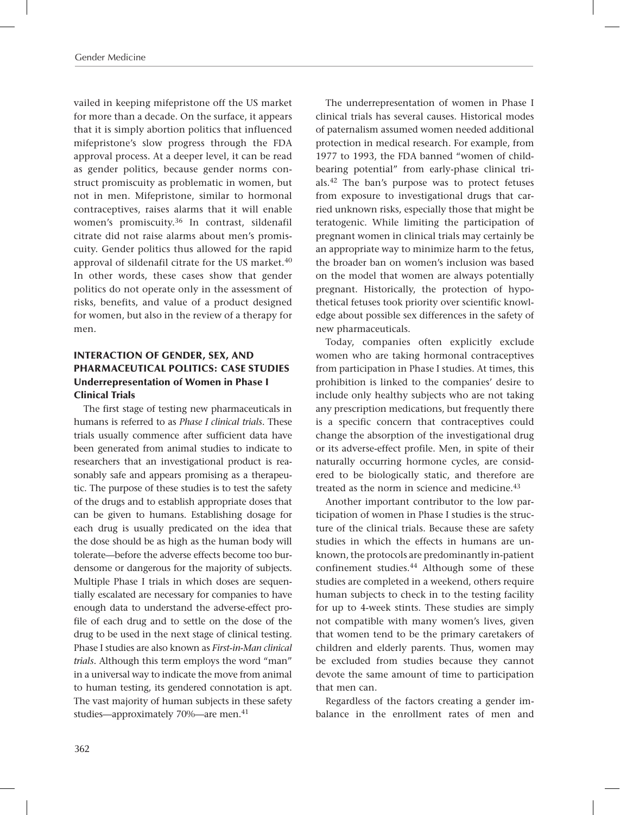vailed in keeping mifepristone off the US market for more than a decade. On the surface, it appears that it is simply abortion politics that influenced mifepristone's slow progress through the FDA approval process. At a deeper level, it can be read as gender politics, because gender norms construct promiscuity as problematic in women, but not in men. Mifepristone, similar to hormonal contraceptives, raises alarms that it will enable women's promiscuity.36 In contrast, sildenafil citrate did not raise alarms about men's promiscuity. Gender politics thus allowed for the rapid approval of sildenafil citrate for the US market.<sup>40</sup> In other words, these cases show that gender politics do not operate only in the assessment of risks, benefits, and value of a product designed for women, but also in the review of a therapy for men*.* 

## INTERACTION OF GENDER, SEX, AND PHARMACEUTICAL POLITICS: CASE STUDIES Underrepresentation of Women in Phase I Clinical Trials

The first stage of testing new pharmaceuticals in humans is referred to as *Phase I clinical trials*. These trials usually commence after sufficient data have been generated from animal studies to indicate to researchers that an investigational product is reasonably safe and appears promising as a therapeutic. The purpose of these studies is to test the safety of the drugs and to establish appropriate doses that can be given to humans. Establishing dosage for each drug is usually predicated on the idea that the dose should be as high as the human body will tolerate—before the adverse effects become too burdensome or dangerous for the majority of subjects. Multiple Phase I trials in which doses are sequentially escalated are necessary for companies to have enough data to understand the adverse-effect profile of each drug and to settle on the dose of the drug to be used in the next stage of clinical testing. Phase I studies are also known as *First-in-Man clinical trials*. Although this term employs the word "man" in a universal way to indicate the move from animal to human testing, its gendered connotation is apt. The vast majority of human subjects in these safety studies—approximately 70%—are men.<sup>41</sup>

The underrepresentation of women in Phase I clinical trials has several causes. Historical modes of paternalism assumed women needed additional protection in medical research. For example, from 1977 to 1993, the FDA banned "women of childbearing potential" from early-phase clinical trials.42 The ban's purpose was to protect fetuses from exposure to investigational drugs that carried unknown risks, especially those that might be teratogenic. While limiting the participation of pregnant women in clinical trials may certainly be an appropriate way to minimize harm to the fetus, the broader ban on women's inclusion was based on the model that women are always potentially pregnant. Historically, the protection of hypothetical fetuses took priority over scientific knowledge about possible sex differences in the safety of new pharmaceuticals.

Today, companies often explicitly exclude women who are taking hormonal contraceptives from participation in Phase I studies. At times, this prohibition is linked to the companies' desire to include only healthy subjects who are not taking any prescription medications, but frequently there is a specific concern that contraceptives could change the absorption of the investigational drug or its adverse-effect profile. Men, in spite of their naturally occurring hormone cycles, are considered to be biologically static, and therefore are treated as the norm in science and medicine.<sup>43</sup>

Another important contributor to the low participation of women in Phase I studies is the structure of the clinical trials. Because these are safety studies in which the effects in humans are unknown, the protocols are predominantly in-patient confinement studies.<sup>44</sup> Although some of these studies are completed in a weekend, others require human subjects to check in to the testing facility for up to 4-week stints. These studies are simply not compatible with many women's lives, given that women tend to be the primary caretakers of children and elderly parents. Thus, women may be excluded from studies because they cannot devote the same amount of time to participation that men can.

Regardless of the factors creating a gender imbalance in the enrollment rates of men and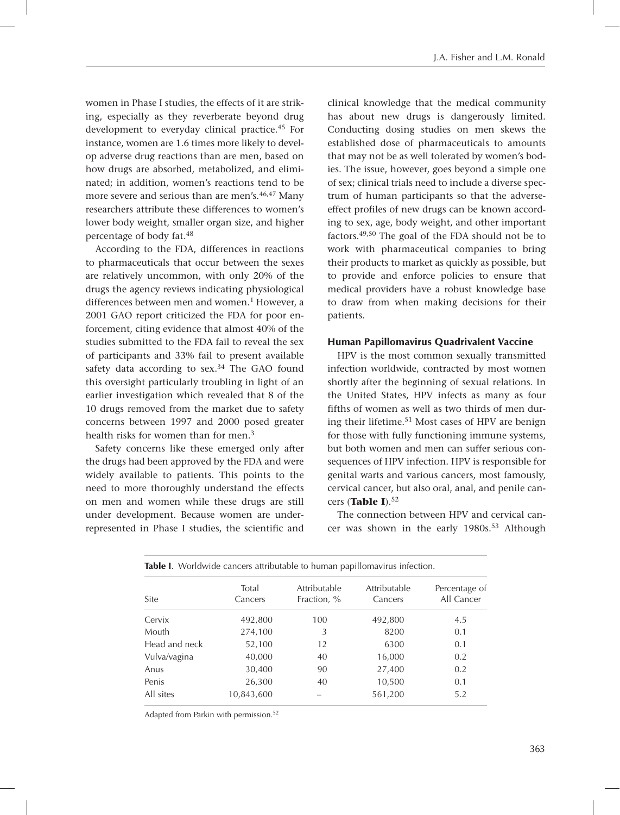women in Phase I studies, the effects of it are striking, especially as they reverberate beyond drug development to everyday clinical practice.45 For instance, women are 1.6 times more likely to develop adverse drug reactions than are men, based on how drugs are absorbed, metabolized, and eliminated; in addition, women's reactions tend to be more severe and serious than are men's.<sup>46,47</sup> Many researchers attribute these differences to women's lower body weight, smaller organ size, and higher percentage of body fat.48

According to the FDA, differences in reactions to pharmaceuticals that occur between the sexes are relatively uncommon, with only 20% of the drugs the agency reviews indicating physiological differences between men and women.<sup>1</sup> However, a 2001 GAO report criticized the FDA for poor enforcement, citing evidence that almost 40% of the studies submitted to the FDA fail to reveal the sex of participants and 33% fail to present available safety data according to sex.<sup>34</sup> The GAO found this oversight particularly troubling in light of an earlier investigation which revealed that 8 of the 10 drugs removed from the market due to safety concerns between 1997 and 2000 posed greater health risks for women than for men.3

Safety concerns like these emerged only after the drugs had been approved by the FDA and were widely available to patients. This points to the need to more thoroughly understand the effects on men and women while these drugs are still under development. Because women are underrepresented in Phase I studies, the scientific and clinical knowledge that the medical community has about new drugs is dangerously limited. Conducting dosing studies on men skews the established dose of pharmaceuticals to amounts that may not be as well tolerated by women's bodies. The issue, however, goes beyond a simple one of sex; clinical trials need to include a diverse spectrum of human participants so that the adverseeffect profiles of new drugs can be known according to sex, age, body weight, and other important factors.49,50 The goal of the FDA should not be to work with pharmaceutical companies to bring their products to market as quickly as possible, but to provide and enforce policies to ensure that medical providers have a robust knowledge base to draw from when making decisions for their patients.

#### Human Papillomavirus Quadrivalent Vaccine

HPV is the most common sexually transmitted infection worldwide, contracted by most women shortly after the beginning of sexual relations. In the United States, HPV infects as many as four fifths of women as well as two thirds of men during their lifetime.51 Most cases of HPV are benign for those with fully functioning immune systems, but both women and men can suffer serious consequences of HPV infection. HPV is responsible for genital warts and various cancers, most famously, cervical cancer, but also oral, anal, and penile cancers (**Table I**).52

The connection between HPV and cervical cancer was shown in the early 1980s.<sup>53</sup> Although

| Site          | Total<br>Cancers | Attributable<br>Fraction, % | Attributable<br>Cancers | Percentage of<br>All Cancer |
|---------------|------------------|-----------------------------|-------------------------|-----------------------------|
| Cervix        | 492,800          | 100                         | 492,800                 | 4.5                         |
| Mouth         | 274,100          | 3                           | 8200                    | 0.1                         |
| Head and neck | 52,100           | 12                          | 6300                    | 0.1                         |
| Vulva/vagina  | 40,000           | 40                          | 16,000                  | 0.2                         |
| Anus          | 30,400           | 90                          | 27,400                  | 0.2                         |
| Penis         | 26,300           | 40                          | 10,500                  | 0.1                         |
| All sites     | 10,843,600       |                             | 561,200                 | 5.2                         |

Table I.Worldwide cancers attributable to human papillomavirus infection.

Adapted from Parkin with permission.52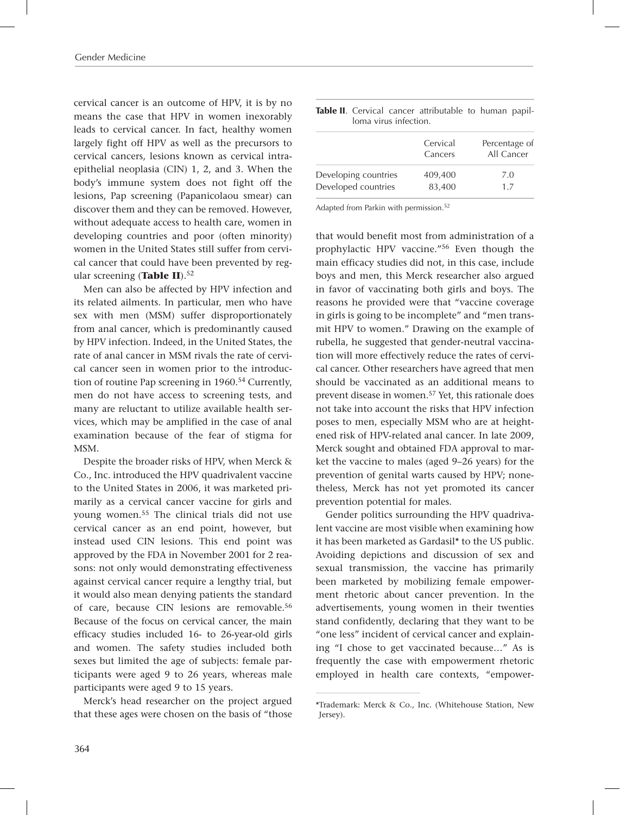cervical cancer is an outcome of HPV, it is by no means the case that HPV in women inexorably leads to cervical cancer. In fact, healthy women largely fight off HPV as well as the precursors to cervical cancers, lesions known as cervical intraepithelial neoplasia (CIN) 1, 2, and 3. When the body's immune system does not fight off the lesions, Pap screening (Papanicolaou smear) can discover them and they can be removed. However, without adequate access to health care, women in developing countries and poor (often minority) women in the United States still suffer from cervical cancer that could have been prevented by regular screening (Table II).<sup>52</sup>

Men can also be affected by HPV infection and its related ailments. In particular, men who have sex with men (MSM) suffer disproportionately from anal cancer, which is predominantly caused by HPV infection. Indeed, in the United States, the rate of anal cancer in MSM rivals the rate of cervical cancer seen in women prior to the introduction of routine Pap screening in 1960.<sup>54</sup> Currently, men do not have access to screening tests, and many are reluctant to utilize available health services, which may be amplified in the case of anal examination because of the fear of stigma for MSM.

Despite the broader risks of HPV, when Merck & Co., Inc. introduced the HPV quadrivalent vaccine to the United States in 2006, it was marketed primarily as a cervical cancer vaccine for girls and young women.55 The clinical trials did not use cervical cancer as an end point, however, but instead used CIN lesions. This end point was approved by the FDA in November 2001 for 2 reasons: not only would demonstrating effectiveness against cervical cancer require a lengthy trial, but it would also mean denying patients the standard of care, because CIN lesions are removable.56 Because of the focus on cervical cancer, the main efficacy studies included 16- to 26-year-old girls and women. The safety studies included both sexes but limited the age of subjects: female participants were aged 9 to 26 years, whereas male participants were aged 9 to 15 years.

Merck's head researcher on the project argued that these ages were chosen on the basis of "those

|                       |  | Table II. Cervical cancer attributable to human papil- |  |  |
|-----------------------|--|--------------------------------------------------------|--|--|
| loma virus infection. |  |                                                        |  |  |

|                      | Cervical<br>Cancers | Percentage of<br>All Cancer |  |
|----------------------|---------------------|-----------------------------|--|
| Developing countries | 409,400             | 7.0                         |  |
| Developed countries  | 83,400              | 17                          |  |

Adapted from Parkin with permission.52

that would benefit most from administration of a prophylactic HPV vaccine."56 Even though the main efficacy studies did not, in this case, include boys and men, this Merck researcher also argued in favor of vaccinating both girls and boys. The reasons he provided were that "vaccine coverage in girls is going to be incomplete" and "men transmit HPV to women." Drawing on the example of rubella, he suggested that gender-neutral vaccination will more effectively reduce the rates of cervical cancer. Other researchers have agreed that men should be vaccinated as an additional means to prevent disease in women.57 Yet, this rationale does not take into account the risks that HPV infection poses to men, especially MSM who are at heightened risk of HPV-related anal cancer. In late 2009, Merck sought and obtained FDA approval to market the vaccine to males (aged 9–26 years) for the prevention of genital warts caused by HPV; nonetheless, Merck has not yet promoted its cancer prevention potential for males.

Gender politics surrounding the HPV quadrivalent vaccine are most visible when examining how it has been marketed as Gardasil\* to the US public. Avoiding depictions and discussion of sex and sexual transmission, the vaccine has primarily been marketed by mobilizing female empowerment rhetoric about cancer prevention. In the advertisements, young women in their twenties stand confidently, declaring that they want to be "one less" incident of cervical cancer and explaining "I chose to get vaccinated because…" As is frequently the case with empowerment rhetoric employed in health care contexts, "empower-

<sup>\*</sup>Trademark: Merck & Co., Inc. (Whitehouse Station, New Jersey).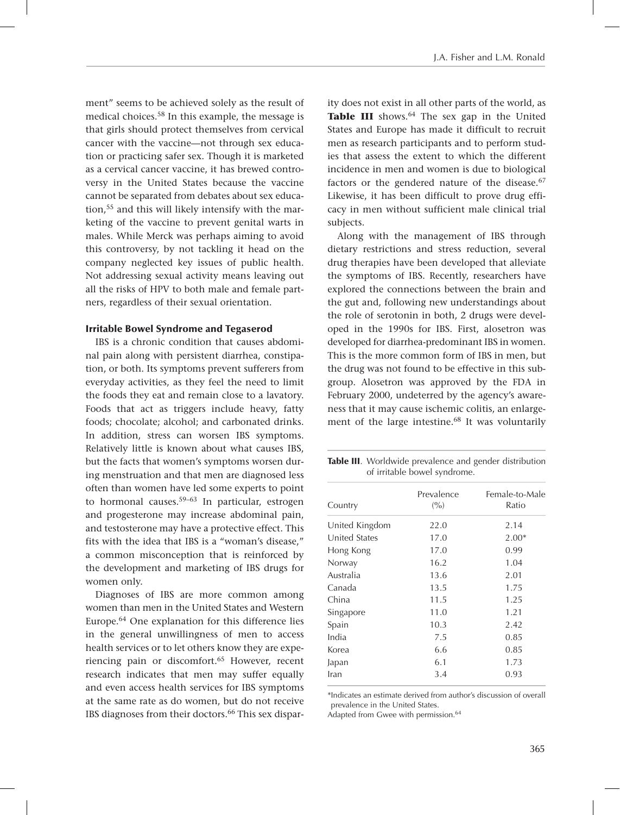ment" seems to be achieved solely as the result of medical choices.58 In this example, the message is that girls should protect themselves from cervical cancer with the vaccine—not through sex education or practicing safer sex. Though it is marketed as a cervical cancer vaccine, it has brewed controversy in the United States because the vaccine cannot be separated from debates about sex education,55 and this will likely intensify with the marketing of the vaccine to prevent genital warts in males. While Merck was perhaps aiming to avoid this controversy, by not tackling it head on the company neglected key issues of public health. Not addressing sexual activity means leaving out all the risks of HPV to both male and female partners, regardless of their sexual orientation.

#### Irritable Bowel Syndrome and Tegaserod

IBS is a chronic condition that causes abdominal pain along with persistent diarrhea, constipation, or both. Its symptoms prevent sufferers from everyday activities, as they feel the need to limit the foods they eat and remain close to a lavatory. Foods that act as triggers include heavy, fatty foods; chocolate; alcohol; and carbonated drinks. In addition, stress can worsen IBS symptoms. Relatively little is known about what causes IBS, but the facts that women's symptoms worsen during menstruation and that men are diagnosed less often than women have led some experts to point to hormonal causes.59–63 In particular, estrogen and progesterone may increase abdominal pain, and testosterone may have a protective effect. This fits with the idea that IBS is a "woman's disease," a common misconception that is reinforced by the development and marketing of IBS drugs for women only.

Diagnoses of IBS are more common among women than men in the United States and Western Europe.64 One explanation for this difference lies in the general unwillingness of men to access health services or to let others know they are experiencing pain or discomfort.65 However, recent research indicates that men may suffer equally and even access health services for IBS symptoms at the same rate as do women, but do not receive IBS diagnoses from their doctors.<sup>66</sup> This sex disparity does not exist in all other parts of the world, as **Table III** shows.<sup>64</sup> The sex gap in the United States and Europe has made it difficult to recruit men as research participants and to perform studies that assess the extent to which the different incidence in men and women is due to biological factors or the gendered nature of the disease.<sup>67</sup> Likewise, it has been difficult to prove drug efficacy in men without sufficient male clinical trial subjects.

Along with the management of IBS through dietary restrictions and stress reduction, several drug therapies have been developed that alleviate the symptoms of IBS. Recently, researchers have explored the connections between the brain and the gut and, following new understandings about the role of serotonin in both, 2 drugs were developed in the 1990s for IBS. First, alosetron was developed for diarrhea-predominant IBS in women. This is the more common form of IBS in men, but the drug was not found to be effective in this subgroup. Alosetron was approved by the FDA in February 2000, undeterred by the agency's awareness that it may cause ischemic colitis, an enlargement of the large intestine.<sup>68</sup> It was voluntarily

Table III. Worldwide prevalence and gender distribution of irritable bowel syndrome.

| Country        | Prevalence<br>(9/0) | Female-to-Male<br>Ratio |  |
|----------------|---------------------|-------------------------|--|
| United Kingdom | 22.0                | 2.14                    |  |
| United States  | 17.0                | $2.00*$                 |  |
| Hong Kong      | 17.0                | 0.99                    |  |
| Norway         | 16.2                | 1.04                    |  |
| Australia      | 13.6                | 2.01                    |  |
| Canada         | 13.5                | 1.75                    |  |
| China          | 11.5                | 1.25                    |  |
| Singapore      | 11.0                | 1.21                    |  |
| Spain          | 10.3                | 2.42                    |  |
| India          | 7.5                 | 0.85                    |  |
| Korea          | 6.6                 | 0.85                    |  |
| Japan          | 6.1                 | 1.73                    |  |
| Iran           | 3.4                 | 0.93                    |  |

\*Indicates an estimate derived from author's discussion of overall prevalence in the United States.

Adapted from Gwee with permission.<sup>64</sup>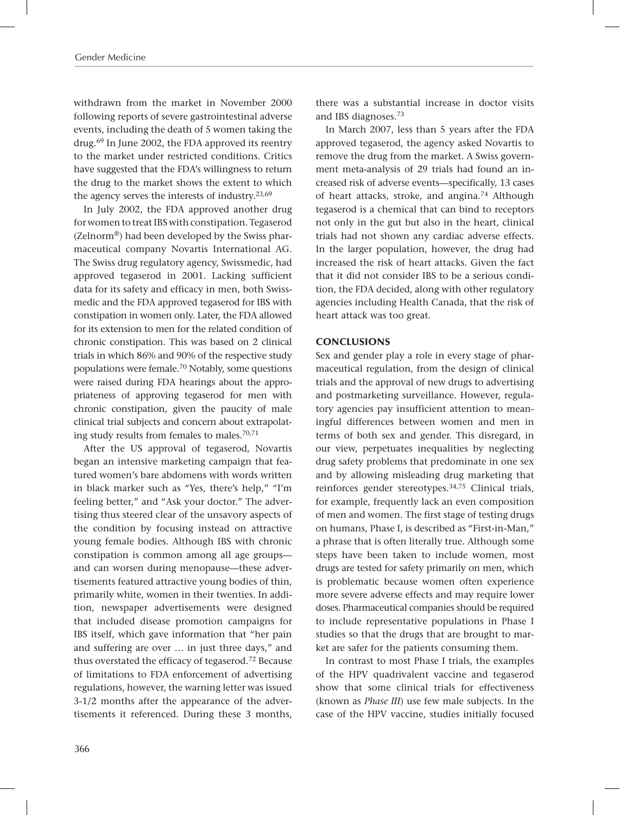withdrawn from the market in November 2000 following reports of severe gastrointestinal adverse events, including the death of 5 women taking the drug.69 In June 2002, the FDA approved its reentry to the market under restricted conditions. Critics have suggested that the FDA's willingness to return the drug to the market shows the extent to which the agency serves the interests of industry.23,69

In July 2002, the FDA approved another drug for women to treat IBS with constipation. Tegaserod (Zelnorm®) had been developed by the Swiss pharmaceutical company Novartis International AG. The Swiss drug regulatory agency, Swissmedic, had approved tegaserod in 2001. Lacking sufficient data for its safety and efficacy in men, both Swissmedic and the FDA approved tegaserod for IBS with constipation in women only. Later, the FDA allowed for its extension to men for the related condition of chronic constipation. This was based on 2 clinical trials in which 86% and 90% of the respective study populations were female.70 Notably, some questions were raised during FDA hearings about the appropriateness of approving tegaserod for men with chronic constipation, given the paucity of male clinical trial subjects and concern about extrapolating study results from females to males.<sup>70,71</sup>

After the US approval of tegaserod, Novartis began an intensive marketing campaign that featured women's bare abdomens with words written in black marker such as "Yes, there's help," "I'm feeling better," and "Ask your doctor." The advertising thus steered clear of the unsavory aspects of the condition by focusing instead on attractive young female bodies. Although IBS with chronic constipation is common among all age groups and can worsen during menopause—these advertisements featured attractive young bodies of thin, primarily white, women in their twenties. In addition, newspaper advertisements were designed that included disease promotion campaigns for IBS itself, which gave information that "her pain and suffering are over … in just three days," and thus overstated the efficacy of tegaserod.72 Because of limitations to FDA enforcement of advertising regulations, however, the warning letter was issued 3-1/2 months after the appearance of the advertisements it referenced. During these 3 months, there was a substantial increase in doctor visits and IBS diagnoses.73

In March 2007, less than 5 years after the FDA approved tegaserod, the agency asked Novartis to remove the drug from the market. A Swiss government meta-analysis of 29 trials had found an increased risk of adverse events—specifically, 13 cases of heart attacks, stroke, and angina.74 Although tegaserod is a chemical that can bind to receptors not only in the gut but also in the heart, clinical trials had not shown any cardiac adverse effects. In the larger population, however, the drug had increased the risk of heart attacks. Given the fact that it did not consider IBS to be a serious condition, the FDA decided, along with other regulatory agencies including Health Canada, that the risk of heart attack was too great.

### **CONCLUSIONS**

Sex and gender play a role in every stage of pharmaceutical regulation, from the design of clinical trials and the approval of new drugs to advertising and postmarketing surveillance. However, regulatory agencies pay insufficient attention to meaningful differences between women and men in terms of both sex and gender. This disregard, in our view, perpetuates inequalities by neglecting drug safety problems that predominate in one sex and by allowing misleading drug marketing that reinforces gender stereotypes.34,75 Clinical trials, for example, frequently lack an even composition of men and women. The first stage of testing drugs on humans, Phase I, is described as "First-in-Man," a phrase that is often literally true. Although some steps have been taken to include women, most drugs are tested for safety primarily on men, which is problematic because women often experience more severe adverse effects and may require lower doses. Pharmaceutical companies should be required to include representative populations in Phase I studies so that the drugs that are brought to market are safer for the patients consuming them.

In contrast to most Phase I trials, the examples of the HPV quadrivalent vaccine and tegaserod show that some clinical trials for effectiveness (known as *Phase III*) use few male subjects. In the case of the HPV vaccine, studies initially focused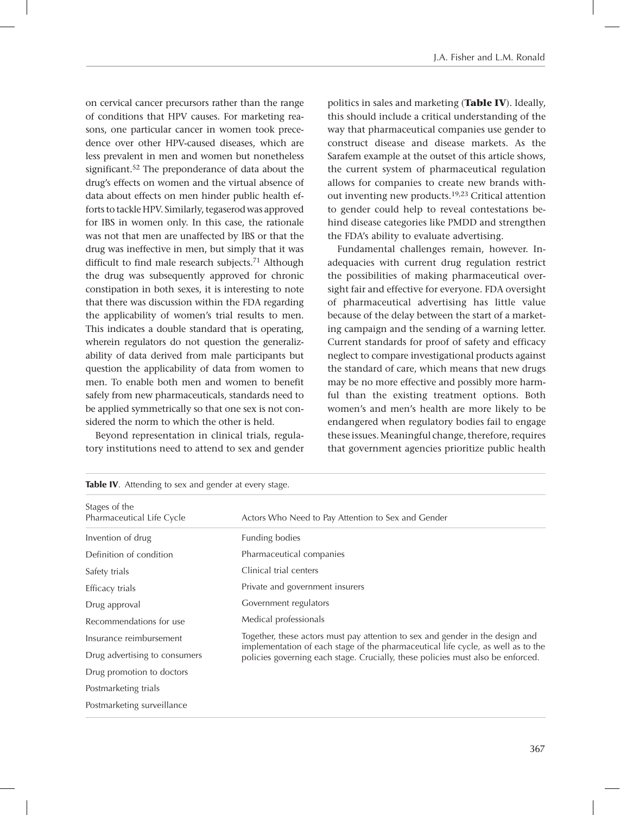on cervical cancer precursors rather than the range of conditions that HPV causes. For marketing reasons, one particular cancer in women took precedence over other HPV-caused diseases, which are less prevalent in men and women but nonetheless significant.52 The preponderance of data about the drug's effects on women and the virtual absence of data about effects on men hinder public health efforts to tackle HPV. Similarly, tegaserod was approved for IBS in women only. In this case, the rationale was not that men are unaffected by IBS or that the drug was ineffective in men, but simply that it was difficult to find male research subjects.<sup>71</sup> Although the drug was subsequently approved for chronic constipation in both sexes, it is interesting to note that there was discussion within the FDA regarding the applicability of women's trial results to men. This indicates a double standard that is operating, wherein regulators do not question the generalizability of data derived from male participants but question the applicability of data from women to men. To enable both men and women to benefit safely from new pharmaceuticals, standards need to be applied symmetrically so that one sex is not considered the norm to which the other is held.

Beyond representation in clinical trials, regulatory institutions need to attend to sex and gender politics in sales and marketing (**Table IV**). Ideally, this should include a critical understanding of the way that pharmaceutical companies use gender to construct disease and disease markets. As the Sarafem example at the outset of this article shows, the current system of pharmaceutical regulation allows for companies to create new brands without inventing new products.19,23 Critical attention to gender could help to reveal contestations behind disease categories like PMDD and strengthen the FDA's ability to evaluate advertising.

Fundamental challenges remain, however. Inadequacies with current drug regulation restrict the possibilities of making pharmaceutical oversight fair and effective for everyone. FDA oversight of pharmaceutical advertising has little value because of the delay between the start of a marketing campaign and the sending of a warning letter. Current standards for proof of safety and efficacy neglect to compare investigational products against the standard of care, which means that new drugs may be no more effective and possibly more harmful than the existing treatment options. Both women's and men's health are more likely to be endangered when regulatory bodies fail to engage these issues. Meaningful change, therefore, requires that government agencies prioritize public health

| Stages of the<br>Pharmaceutical Life Cycle | Actors Who Need to Pay Attention to Sex and Gender                                                                                                                  |  |  |
|--------------------------------------------|---------------------------------------------------------------------------------------------------------------------------------------------------------------------|--|--|
| Invention of drug                          | Funding bodies                                                                                                                                                      |  |  |
| Definition of condition                    | Pharmaceutical companies                                                                                                                                            |  |  |
| Safety trials                              | Clinical trial centers                                                                                                                                              |  |  |
| Efficacy trials                            | Private and government insurers                                                                                                                                     |  |  |
| Drug approval                              | Government regulators                                                                                                                                               |  |  |
| Recommendations for use                    | Medical professionals                                                                                                                                               |  |  |
| Insurance reimbursement                    | Together, these actors must pay attention to sex and gender in the design and                                                                                       |  |  |
| Drug advertising to consumers              | implementation of each stage of the pharmaceutical life cycle, as well as to the<br>policies governing each stage. Crucially, these policies must also be enforced. |  |  |
| Drug promotion to doctors                  |                                                                                                                                                                     |  |  |
| Postmarketing trials                       |                                                                                                                                                                     |  |  |
| Postmarketing surveillance                 |                                                                                                                                                                     |  |  |

|  |  | Table IV. Attending to sex and gender at every stage. |  |  |  |  |
|--|--|-------------------------------------------------------|--|--|--|--|
|--|--|-------------------------------------------------------|--|--|--|--|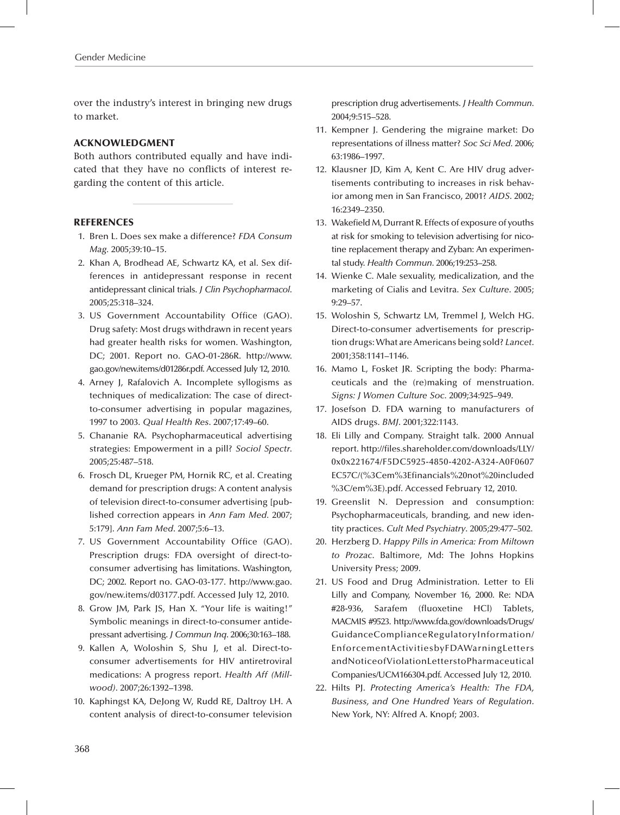over the industry's interest in bringing new drugs to market.

#### ACKNOWLEDGMENT

Both authors contributed equally and have indicated that they have no conflicts of interest regarding the content of this article.

#### **REFERENCES**

- 1. Bren L. Does sex make a difference? *FDA Consum Mag.* 2005;39:10–15.
- 2. Khan A, Brodhead AE, Schwartz KA, et al. Sex differences in antidepressant response in recent antidepressant clinical trials. *J Clin Psychopharmacol*. 2005;25:318–324.
- 3. US Government Accountability Office (GAO). Drug safety: Most drugs withdrawn in recent years had greater health risks for women. Washington, DC; 2001. Report no. GAO-01-286R. http://www. gao.gov/new.items/d01286r.pdf. Accessed July 12, 2010.
- 4. Arney J, Rafalovich A. Incomplete syllogisms as techniques of medicalization: The case of directto-consumer advertising in popular magazines, 1997 to 2003. *Qual Health Res*. 2007;17:49–60.
- 5. Chananie RA. Psychopharmaceutical advertising strategies: Empowerment in a pill? *Sociol Spectr*. 2005;25:487–518.
- 6. Frosch DL, Krueger PM, Hornik RC, et al. Creating demand for prescription drugs: A content analysis of television direct-to-consumer advertising [published correction appears in *Ann Fam Med.* 2007; 5:179]. *Ann Fam Med*. 2007;5:6–13.
- 7. US Government Accountability Office (GAO). Prescription drugs: FDA oversight of direct-toconsumer advertising has limitations. Washington, DC; 2002. Report no. GAO-03-177. http://www.gao. gov/new.items/d03177.pdf. Accessed July 12, 2010.
- 8. Grow JM, Park JS, Han X. "Your life is waiting!" Symbolic meanings in direct-to-consumer antidepressant advertising. *J Commun Inq*. 2006;30:163–188.
- 9. Kallen A, Woloshin S, Shu J, et al. Direct-toconsumer advertisements for HIV antiretroviral medications: A progress report. *Health Aff (Millwood)*. 2007;26:1392–1398.
- 10. Kaphingst KA, DeJong W, Rudd RE, Daltroy LH. A content analysis of direct-to-consumer television

prescription drug advertisements. *J Health Commun*. 2004;9:515–528.

- 11. Kempner J. Gendering the migraine market: Do representations of illness matter? *Soc Sci Med.* 2006; 63:1986–1997.
- 12. Klausner JD, Kim A, Kent C. Are HIV drug advertisements contributing to increases in risk behavior among men in San Francisco, 2001? *AIDS*. 2002; 16:2349–2350.
- 13. Wakefield M, Durrant R. Effects of exposure of youths at risk for smoking to television advertising for nicotine replacement therapy and Zyban: An experimental study. *Health Commun*. 2006;19:253–258.
- 14. Wienke C. Male sexuality, medicalization, and the marketing of Cialis and Levitra. *Sex Culture*. 2005; 9:29–57.
- 15. Woloshin S, Schwartz LM, Tremmel J, Welch HG. Direct-to-consumer advertisements for prescription drugs: What are Americans being sold? *Lancet*. 2001;358:1141–1146.
- 16. Mamo L, Fosket JR. Scripting the body: Pharmaceuticals and the (re)making of menstruation. *Signs: J Women Culture Soc*. 2009;34:925–949.
- 17. Josefson D. FDA warning to manufacturers of AIDS drugs. *BMJ*. 2001;322:1143.
- 18. Eli Lilly and Company. Straight talk. 2000 Annual report. http://files.shareholder.com/downloads/LLY/ 0x0x221674/F5DC5925-4850-4202-A324-A0F0607 EC57C/(%3Cem%3Efinancials%20not%20included %3C/em%3E).pdf. Accessed February 12, 2010.
- 19. Greenslit N. Depression and consumption: Psychopharmaceuticals, branding, and new identity practices. *Cult Med Psychiatry*. 2005;29:477–502.
- 20. Herzberg D. *Happy Pills in America: From Miltown to Prozac*. Baltimore, Md: The Johns Hopkins University Press; 2009.
- 21. US Food and Drug Administration. Letter to Eli Lilly and Company, November 16, 2000. Re: NDA #28-936, Sarafem (fluoxetine HCl) Tablets, MACMIS #9523. http://www.fda.gov/downloads/Drugs/ GuidanceComplianceRegulatoryInformation/ EnforcementActivitiesbyFDAWarningLetters andNoticeofViolationLetterstoPharmaceutical Companies/UCM166304.pdf. Accessed July 12, 2010.
- 22. Hilts PJ. *Protecting America's Health: The FDA, Business, and One Hundred Years of Regulation*. New York, NY: Alfred A. Knopf; 2003.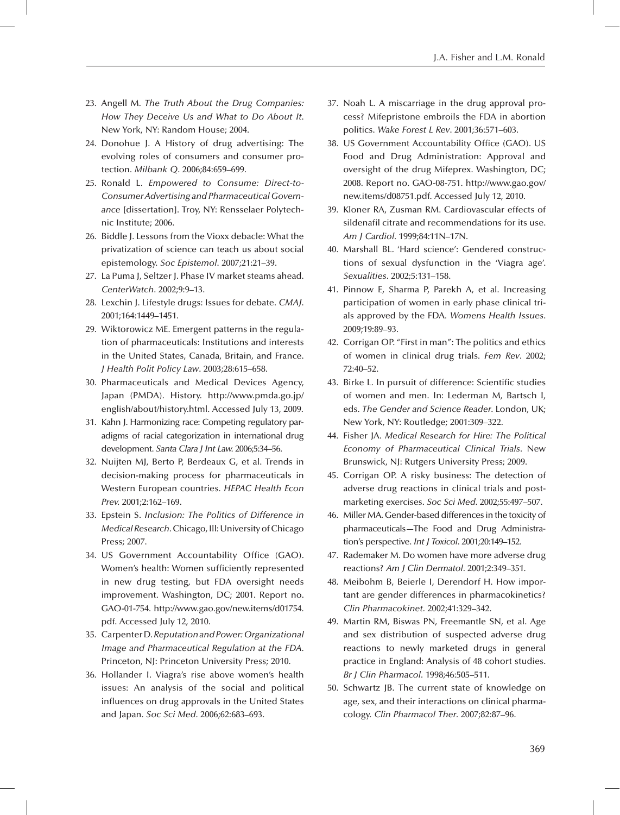- 23. Angell M. *The Truth About the Drug Companies: How They Deceive Us and What to Do About It*. New York, NY: Random House; 2004.
- 24. Donohue J. A History of drug advertising: The evolving roles of consumers and consumer protection. *Milbank Q*. 2006;84:659–699.
- 25. Ronald L. *Empowered to Consume: Direct-to-Consumer Advertising and Pharmaceutical Governance* [dissertation]. Troy, NY: Rensselaer Polytechnic Institute; 2006.
- 26. Biddle J. Lessons from the Vioxx debacle: What the privatization of science can teach us about social epistemology. *Soc Epistemol*. 2007;21:21–39.
- 27. La Puma J, Seltzer J. Phase IV market steams ahead. *CenterWatch*. 2002;9:9–13.
- 28. Lexchin J. Lifestyle drugs: Issues for debate. *CMAJ*. 2001;164:1449–1451.
- 29. Wiktorowicz ME. Emergent patterns in the regulation of pharmaceuticals: Institutions and interests in the United States, Canada, Britain, and France. *J Health Polit Policy Law*. 2003;28:615–658.
- 30. Pharmaceuticals and Medical Devices Agency, Japan (PMDA). History. http://www.pmda.go.jp/ english/about/history.html. Accessed July 13, 2009.
- 31. Kahn J. Harmonizing race: Competing regulatory paradigms of racial categorization in international drug development. *Santa Clara J Int Law.* 2006;5:34–56.
- 32. Nuijten MJ, Berto P, Berdeaux G, et al. Trends in decision-making process for pharmaceuticals in Western European countries. *HEPAC Health Econ Prev.* 2001;2:162–169.
- 33. Epstein S. *Inclusion: The Politics of Difference in Medical Research*. Chicago, Ill: University of Chicago Press; 2007.
- 34. US Government Accountability Office (GAO). Women's health: Women sufficiently represented in new drug testing, but FDA oversight needs improvement. Washington, DC; 2001. Report no. GAO-01-754. http://www.gao.gov/new.items/d01754. pdf. Accessed July 12, 2010.
- 35. Carpenter D. *Reputation and Power: Organizational Image and Pharmaceutical Regulation at the FDA.* Princeton, NJ: Princeton University Press; 2010.
- 36. Hollander I. Viagra's rise above women's health issues: An analysis of the social and political influences on drug approvals in the United States and Japan. *Soc Sci Med*. 2006;62:683–693.
- 37. Noah L. A miscarriage in the drug approval process? Mifepristone embroils the FDA in abortion politics. *Wake Forest L Rev*. 2001;36:571–603.
- 38. US Government Accountability Office (GAO). US Food and Drug Administration: Approval and oversight of the drug Mifeprex. Washington, DC; 2008. Report no. GAO-08-751. http://www.gao.gov/ new.items/d08751.pdf. Accessed July 12, 2010.
- 39. Kloner RA, Zusman RM. Cardiovascular effects of sildenafil citrate and recommendations for its use. *Am J Cardiol.* 1999;84:11N–17N.
- 40. Marshall BL. 'Hard science': Gendered constructions of sexual dysfunction in the 'Viagra age'. *Sexualities*. 2002;5:131–158.
- 41. Pinnow E, Sharma P, Parekh A, et al. Increasing participation of women in early phase clinical trials approved by the FDA. *Womens Health Issues*. 2009;19:89–93.
- 42. Corrigan OP. "First in man": The politics and ethics of women in clinical drug trials. *Fem Rev*. 2002; 72:40–52.
- 43. Birke L. In pursuit of difference: Scientific studies of women and men. In: Lederman M, Bartsch I, eds. *The Gender and Science Reader*. London, UK; New York, NY: Routledge; 2001:309–322.
- 44. Fisher JA. *Medical Research for Hire: The Political Economy of Pharmaceutical Clinical Trials*. New Brunswick, NJ: Rutgers University Press; 2009.
- 45. Corrigan OP. A risky business: The detection of adverse drug reactions in clinical trials and postmarketing exercises. *Soc Sci Med*. 2002;55:497–507.
- 46. Miller MA. Gender-based differences in the toxicity of pharmaceuticals—The Food and Drug Administration's perspective. *Int J Toxicol*. 2001;20:149–152.
- 47. Rademaker M. Do women have more adverse drug reactions? *Am J Clin Dermatol*. 2001;2:349–351.
- 48. Meibohm B, Beierle I, Derendorf H. How important are gender differences in pharmacokinetics? *Clin Pharmacokinet*. 2002;41:329–342.
- 49. Martin RM, Biswas PN, Freemantle SN, et al. Age and sex distribution of suspected adverse drug reactions to newly marketed drugs in general practice in England: Analysis of 48 cohort studies. *Br J Clin Pharmacol*. 1998;46:505–511.
- 50. Schwartz JB. The current state of knowledge on age, sex, and their interactions on clinical pharmacology. *Clin Pharmacol Ther*. 2007;82:87–96.